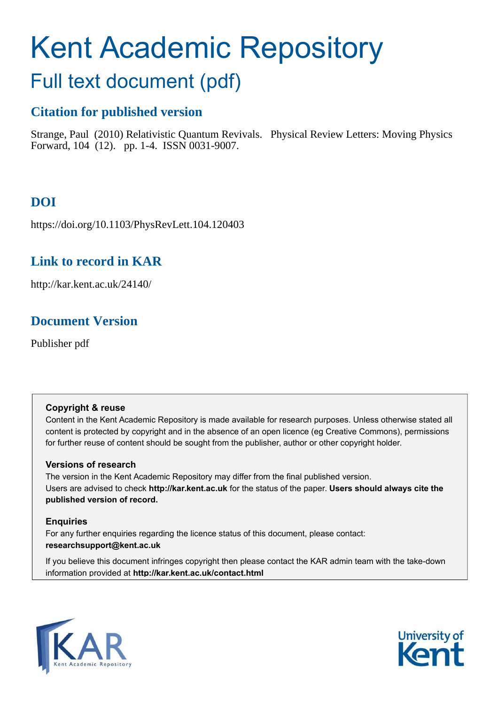# Kent Academic Repository

## Full text document (pdf)

## **Citation for published version**

Strange, Paul (2010) Relativistic Quantum Revivals. Physical Review Letters: Moving Physics Forward, 104 (12). pp. 1-4. ISSN 0031-9007.

## **DOI**

https://doi.org/10.1103/PhysRevLett.104.120403

## **Link to record in KAR**

http://kar.kent.ac.uk/24140/

## <span id="page-0-0"></span>**Document Version**

Publisher pdf

#### **Copyright & reuse**

Content in the Kent Academic Repository is made available for research purposes. Unless otherwise stated all content is protected by copyright and in the absence of an open licence (eg Creative Commons), permissions for further reuse of content should be sought from the publisher, author or other copyright holder.

#### **Versions of research**

The version in the Kent Academic Repository may differ from the final published version. Users are advised to check **http://kar.kent.ac.uk** for the status of the paper. **Users should always cite the published version of record.**

#### **Enquiries**

For any further enquiries regarding the licence status of this document, please contact: **researchsupport@kent.ac.uk**

If you believe this document infringes copyright then please contact the KAR admin team with the take-down information provided at **http://kar.kent.ac.uk/contact.html**



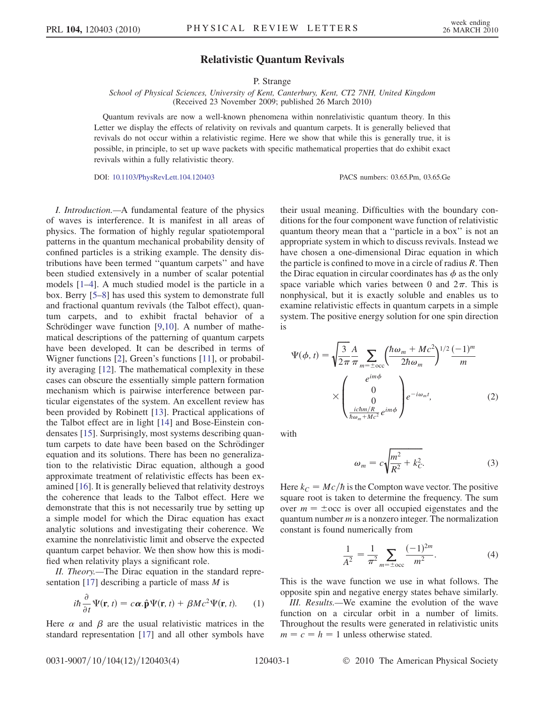#### Relativistic Quantum Revivals

#### <span id="page-1-4"></span>P. Strange

School of Physical Sciences, University of Kent, Canterbury, Kent, CT2 7NH, United Kingdom (Received 23 November 2009; published 26 March 2010)

<span id="page-1-3"></span>Quantum revivals are now a well-known phenomena within nonrelativistic quantum theory. In this Letter we display the effects of relativity on revivals and quantum carpets. It is generally believed that revivals do not occur within a relativistic regime. Here we show that while this is generally true, it is possible, in principle, to set up wave packets with specific mathematical properties that do exhibit exact revivals within a fully relativistic theory.

DOI: [10.1103/PhysRevLett.104.120403](http://dx.doi.org/10.1103/PhysRevLett.104.120403) PACS numbers: 03.65.Pm, 03.65.Ge

<span id="page-1-2"></span>I. Introduction.—A fundamental feature of the physics of waves is interference. It is manifest in all areas of physics. The formation of highly regular spatiotemporal patterns in the quantum mechanical probability density of confined particles is a striking example. The density distributions have been termed ''quantum carpets'' and have been studied extensively in a number of scalar potential models [[1–](#page-3-0)[4](#page-3-1)]. A much studied model is the particle in a box. Berry [[5](#page-3-2)[–8\]](#page-3-3) has used this system to demonstrate full and fractional quantum revivals (the Talbot effect), quantum carpets, and to exhibit fractal behavior of a Schrödinger wave function  $[9,10]$  $[9,10]$  $[9,10]$  $[9,10]$ . A number of mathematical descriptions of the patterning of quantum carpets have been developed. It can be described in terms of Wigner functions [[2\]](#page-3-6), Green's functions [\[11\]](#page-3-7), or probability averaging [\[12\]](#page-3-8). The mathematical complexity in these cases can obscure the essentially simple pattern formation mechanism which is pairwise interference between particular eigenstates of the system. An excellent review has been provided by Robinett [\[13\]](#page-3-9). Practical applications of the Talbot effect are in light [\[14](#page-3-10)] and Bose-Einstein condensates [\[15\]](#page-3-11). Surprisingly, most systems describing quantum carpets to date have been based on the Schrödinger equation and its solutions. There has been no generalization to the relativistic Dirac equation, although a good approximate treatment of relativistic effects has been examined [[16](#page-3-12)]. It is generally believed that relativity destroys the coherence that leads to the Talbot effect. Here we demonstrate that this is not necessarily true by setting up a simple model for which the Dirac equation has exact analytic solutions and investigating their coherence. We examine the nonrelativistic limit and observe the expected quantum carpet behavior. We then show how this is modified when relativity plays a significant role.

<span id="page-1-0"></span>II. Theory.—The Dirac equation in the standard repre-sentation [\[17\]](#page-3-13) describing a particle of mass  $M$  is

$$
i\hbar \frac{\partial}{\partial t} \Psi(\mathbf{r}, t) = c\boldsymbol{\alpha}.\hat{\mathbf{p}} \Psi(\mathbf{r}, t) + \beta Mc^2 \Psi(\mathbf{r}, t). \qquad (1)
$$

Here  $\alpha$  and  $\beta$  are the usual relativistic matrices in the standard representation [\[17\]](#page-3-13) and all other symbols have their usual meaning. Difficulties with the boundary conditions for the four component wave function of relativistic quantum theory mean that a ''particle in a box'' is not an appropriate system in which to discuss revivals. Instead we have chosen a one-dimensional Dirac equation in which the particle is confined to move in a circle of radius  $R$ . Then the Dirac equation in circular coordinates has  $\phi$  as the only space variable which varies between 0 and  $2\pi$ . This is nonphysical, but it is exactly soluble and enables us to examine relativistic effects in quantum carpets in a simple system. The positive energy solution for one spin direction is

$$
\Psi(\phi, t) = \sqrt{\frac{3}{2\pi}} \frac{A}{\pi} \sum_{m=\pm\text{occ}} \left(\frac{\hbar \omega_m + Mc^2}{2\hbar \omega_m}\right)^{1/2} \frac{(-1)^m}{m}
$$

$$
\times \begin{pmatrix} e^{im\phi} \\ 0 \\ \frac{0}{\hbar \omega_m + Mc^2} e^{im\phi} \end{pmatrix} e^{-i\omega_m t}, \tag{2}
$$

with

$$
\omega_m = c \sqrt{\frac{m^2}{R^2} + k_C^2}.\tag{3}
$$

<span id="page-1-1"></span>Here  $k_C = Mc/h$  is the Compton wave vector. The positive square root is taken to determine the frequency. The sum over  $m = \pm \text{occ}$  is over all occupied eigenstates and the quantum number  $m$  is a nonzero integer. The normalization constant is found numerically from

$$
\frac{1}{A^2} = \frac{1}{\pi^2} \sum_{m = \pm \text{occ}} \frac{(-1)^{2m}}{m^2}.
$$
 (4)

This is the wave function we use in what follows. The opposite spin and negative energy states behave similarly.

III. Results.—We examine the evolution of the wave function on a circular orbit in a number of limits. Throughout the results were generated in relativistic units  $m = c = h = 1$  unless otherwise stated.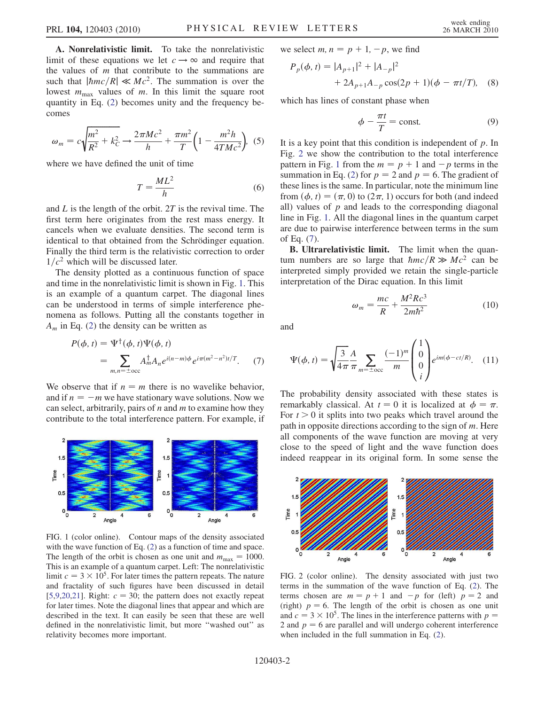A. Nonrelativistic limit. To take the nonrelativistic limit of these equations we let  $c \rightarrow \infty$  and require that the values of  *that contribute to the summations are* such that  $|\hbar mc/R| \ll Mc^2$ . The summation is over the lowest  $m_{\text{max}}$  values of m. In this limit the square root quantity in Eq. ([2](#page-0-0)) becomes unity and the frequency becomes

$$
\omega_m = c \sqrt{\frac{m^2}{R^2} + k_C^2} \rightarrow \frac{2 \pi M c^2}{h} + \frac{\pi m^2}{T} \left( 1 - \frac{m^2 h}{4 T M c^2} \right), \tag{5}
$$

where we have defined the unit of time

$$
T = \frac{ML^2}{h} \tag{6}
$$

<span id="page-2-1"></span>and  $L$  is the length of the orbit. 2T is the revival time. The first term here originates from the rest mass energy. It cancels when we evaluate densities. The second term is identical to that obtained from the Schrödinger equation. Finally the third term is the relativistic correction to order  $1/c<sup>2</sup>$  which will be discussed later.

The density plotted as a continuous function of space and time in the nonrelativistic limit is shown in Fig. [1](#page-1-0). This is an example of a quantum carpet. The diagonal lines can be understood in terms of simple interference phenomena as follows. Putting all the constants together in  $A_m$  in Eq. ([2\)](#page-0-0) the density can be written as

<span id="page-2-4"></span>
$$
P(\phi, t) = \Psi^{\dagger}(\phi, t)\Psi(\phi, t)
$$
  
= 
$$
\sum_{m,n=\pm\text{occ}} A_m^{\dagger} A_n e^{i(n-m)\phi} e^{i\pi(m^2 - n^2)t/T}.
$$
 (7)

We observe that if  $n = m$  there is no wavelike behavior, and if  $n = -m$  we have stationary wave solutions. Now we can select, arbitrarily, pairs of  $n$  and  $m$  to examine how they contribute to the total interference pattern. For example, if

<span id="page-2-2"></span>

<span id="page-2-0"></span>FIG. 1 (color online). Contour maps of the density associated with the wave function of Eq. [\(2](#page-0-0)) as a function of time and space. The length of the orbit is chosen as one unit and  $m_{\text{max}} = 1000$ . This is an example of a quantum carpet. Left: The nonrelativistic limit  $c = 3 \times 10^5$ . For later times the pattern repeats. The nature and fractality of such figures have been discussed in detail [\[5,](#page-3-2)[9](#page-3-4)[,20,](#page-3-14)[21\]](#page-3-15). Right:  $c = 30$ ; the pattern does not exactly repeat for later times. Note the diagonal lines that appear and which are described in the text. It can easily be seen that these are well defined in the nonrelativistic limit, but more ''washed out'' as relativity becomes more important.

we select  $m, n = p + 1, -p$ , we find

$$
P_p(\phi, t) = |A_{p+1}|^2 + |A_{-p}|^2
$$
  
+ 2A\_{p+1}A\_{-p}\cos(2p + 1)(\phi - \pi t/T), (8)

which has lines of constant phase when

$$
\phi - \frac{\pi t}{T} = \text{const.} \tag{9}
$$

It is a key point that this condition is independent of  $p$ . In Fig. [2](#page-1-1) we show the contribution to the total interference pattern in Fig. [1](#page-1-0) from the  $m = p + 1$  and  $-p$  terms in the summation in Eq. [\(2](#page-0-0)) for  $p = 2$  and  $p = 6$ . The gradient of these lines is the same. In particular, note the minimum line from  $(\phi, t) = (\pi, 0)$  to  $(2\pi, 1)$  occurs for both (and indeed all) values of  $p$  and leads to the corresponding diagonal line in Fig. [1](#page-1-0). All the diagonal lines in the quantum carpet are due to pairwise interference between terms in the sum of Eq. [\(7\)](#page-1-2).

B. Ultrarelativistic limit. The limit when the quantum numbers are so large that  $\hbar mc/R \gg Mc^2$  can be interpreted simply provided we retain the single-particle interpretation of the Dirac equation. In this limit

$$
\omega_m = \frac{mc}{R} + \frac{M^2 R c^3}{2m\hbar^2} \tag{10}
$$

and

$$
\Psi(\phi, t) = \sqrt{\frac{3}{4\pi}} \frac{A}{\pi} \sum_{m = \pm \text{occ}} \frac{(-1)^m}{m} \begin{pmatrix} 1\\0\\0\\i \end{pmatrix} e^{im(\phi - ct/R)}.
$$
 (11)

The probability density associated with these states is remarkably classical. At  $t = 0$  it is localized at  $\phi = \pi$ . For  $t > 0$  it splits into two peaks which travel around the path in opposite directions according to the sign of  $m$ . Here all components of the wave function are moving at very close to the speed of light and the wave function does indeed reappear in its original form. In some sense the

<span id="page-2-3"></span>

FIG. 2 (color online). The density associated with just two terms in the summation of the wave function of Eq. [\(2\)](#page-0-0). The terms chosen are  $m = p + 1$  and  $-p$  for (left)  $p = 2$  and (right)  $p = 6$ . The length of the orbit is chosen as one unit and  $c = 3 \times 10^5$ . The lines in the interference patterns with  $p =$ 2 and  $p = 6$  are parallel and will undergo coherent interference when included in the full summation in Eq. [\(2](#page-0-0)).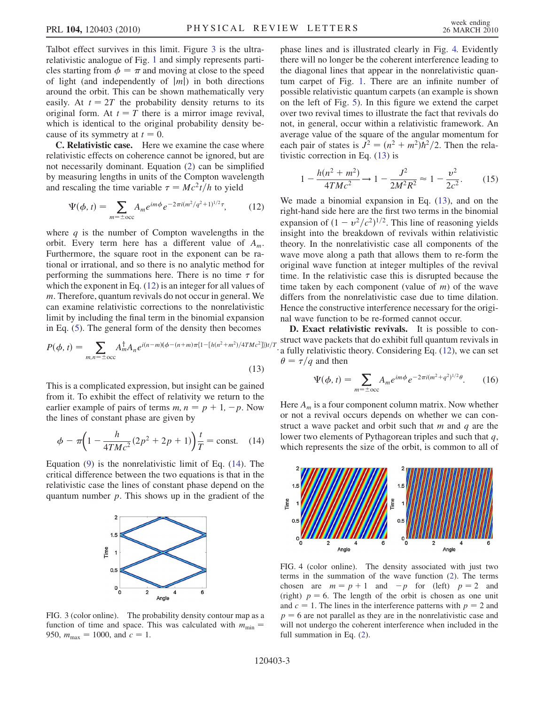<span id="page-3-16"></span>Talbot effect survives in this limit. Figure [3](#page-2-0) is the ultrarelativistic analogue of Fig. [1](#page-1-0) and simply represents particles starting from  $\phi = \pi$  and moving at close to the speed of light (and independently of  $|m|$ ) in both directions around the orbit. This can be shown mathematically very easily. At  $t = 2T$  the probability density returns to its original form. At  $t = T$  there is a mirror image revival, which is identical to the original probability density because of its symmetry at  $t = 0$ .

C. Relativistic case. Here we examine the case where relativistic effects on coherence cannot be ignored, but are not necessarily dominant. Equation ([2\)](#page-0-0) can be simplified by measuring lengths in units of the Compton wavelength and rescaling the time variable  $\tau = Mc^2t/h$  to yield

$$
\Psi(\phi, t) = \sum_{m = \pm \text{occ}} A_m e^{im\phi} e^{-2\pi i (m^2/q^2 + 1)^{1/2}\tau}, \tag{12}
$$

where  $q$  is the number of Compton wavelengths in the orbit. Every term here has a different value of  $A_m$ . Furthermore, the square root in the exponent can be rational or irrational, and so there is no analytic method for performing the summations here. There is no time  $\tau$  for which the exponent in Eq.  $(12)$  $(12)$  $(12)$  is an integer for all values of m. Therefore, quantum revivals do not occur in general. We can examine relativistic corrections to the nonrelativistic limit by including the final term in the binomial expansion in Eq. ([5](#page-1-3)). The general form of the density then becomes

$$
P(\phi, t) = \sum_{m,n=\pm \text{occ}} A_m^{\dagger} A_n e^{i(n-m)(\phi - (n+m)\pi \{1 - [h(n^2 + m^2)/4TMc^2]\}t/\tau}
$$
\n(13)

This is a complicated expression, but insight can be gained from it. To exhibit the effect of relativity we return to the earlier example of pairs of terms  $m, n = p + 1, -p$ . Now the lines of constant phase are given by

$$
\phi - \pi \left( 1 - \frac{h}{4TMc^2} (2p^2 + 2p + 1) \right) \frac{t}{T} = \text{const.} \quad (14)
$$

Equation [\(9\)](#page-1-4) is the nonrelativistic limit of Eq. [\(14\)](#page-2-2). The critical difference between the two equations is that in the relativistic case the lines of constant phase depend on the quantum number  $p$ . This shows up in the gradient of the



FIG. 3 (color online). The probability density contour map as a function of time and space. This was calculated with  $m_{\text{min}}$  = 950,  $m_{\text{max}} = 1000$ , and  $c = 1$ .

<span id="page-3-0"></span>phase lines and is illustrated clearly in Fig. [4.](#page-2-3) Evidently there will no longer be the coherent interference leading to the diagonal lines that appear in the nonrelativistic quantum carpet of Fig. [1](#page-1-0). There are an infinite number of possible relativistic quantum carpets (an example is shown on the left of Fig. [5](#page-3-16)). In this figure we extend the carpet over two revival times to illustrate the fact that revivals do not, in general, occur within a relativistic framework. An average value of the square of the angular momentum for each pair of states is  $\vec{J}^2 = (n^2 + m^2)\vec{h}^2/2$ . Then the relativistic correction in Eq. ([13](#page-2-4)) is

<span id="page-3-6"></span><span id="page-3-1"></span>
$$
1 - \frac{h(n^2 + m^2)}{4TMc^2} \to 1 - \frac{J^2}{2M^2R^2} \approx 1 - \frac{v^2}{2c^2}.
$$
 (15)

<span id="page-3-4"></span><span id="page-3-3"></span><span id="page-3-2"></span>We made a binomial expansion in Eq. [\(13\)](#page-2-4), and on the right-hand side here are the first two terms in the binomial expansion of  $(1 - v^2/c^2)^{1/2}$ . This line of reasoning yields insight into the breakdown of revivals within relativistic theory. In the nonrelativistic case all components of the wave move along a path that allows them to re-form the original wave function at integer multiples of the revival time. In the relativistic case this is disrupted because the time taken by each component (value of  $m$ ) of the wave differs from the nonrelativistic case due to time dilation. Hence the constructive interference necessary for the original wave function to be re-formed cannot occur.

<span id="page-3-8"></span><span id="page-3-7"></span><span id="page-3-5"></span> $\mathbb{B}_{t/T}$  struct wave packets that do exhibit full quantum revivals in : a fully relativistic theory. Considering Eq. [\(12\)](#page-2-1), we can set D. Exact relativistic revivals. It is possible to con- $\theta = \tau/q$  and then

<span id="page-3-9"></span>
$$
\Psi(\phi, t) = \sum_{m = \pm \text{occ}} A_m e^{im\phi} e^{-2\pi i (m^2 + q^2)^{1/2} \theta}.
$$
 (16)

<span id="page-3-12"></span><span id="page-3-11"></span><span id="page-3-10"></span>Here  $A_m$  is a four component column matrix. Now whether or not a revival occurs depends on whether we can construct a wave packet and orbit such that  $m$  and  $q$  are the lower two elements of Pythagorean triples and such that  $q$ , which represents the size of the orbit, is common to all of

<span id="page-3-18"></span><span id="page-3-17"></span><span id="page-3-14"></span><span id="page-3-13"></span>

<span id="page-3-15"></span>FIG. 4 (color online). The density associated with just two terms in the summation of the wave function [\(2](#page-0-0)). The terms chosen are  $m = p + 1$  and  $-p$  for (left)  $p = 2$  and (right)  $p = 6$ . The length of the orbit is chosen as one unit and  $c = 1$ . The lines in the interference patterns with  $p = 2$  and  $p = 6$  are not parallel as they are in the nonrelativistic case and will not undergo the coherent interference when included in the full summation in Eq. ([2\)](#page-0-0).